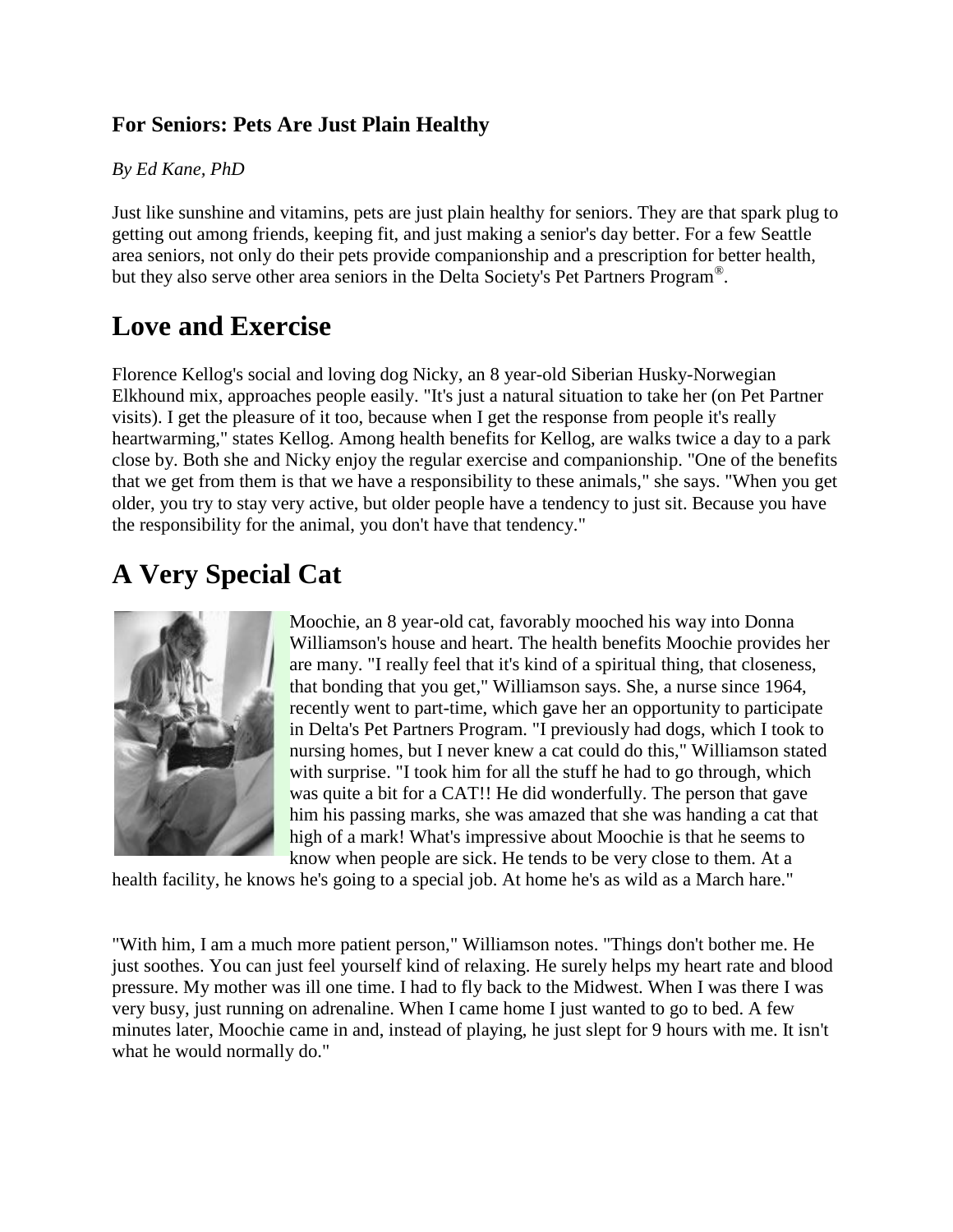#### **For Seniors: Pets Are Just Plain Healthy**

#### *By Ed Kane, PhD*

Just like sunshine and vitamins, pets are just plain healthy for seniors. They are that spark plug to getting out among friends, keeping fit, and just making a senior's day better. For a few Seattle area seniors, not only do their pets provide companionship and a prescription for better health, but they also serve other area seniors in the Delta Society's Pet Partners Program® .

### **Love and Exercise**

Florence Kellog's social and loving dog Nicky, an 8 year-old Siberian Husky-Norwegian Elkhound mix, approaches people easily. "It's just a natural situation to take her (on Pet Partner visits). I get the pleasure of it too, because when I get the response from people it's really heartwarming," states Kellog. Among health benefits for Kellog, are walks twice a day to a park close by. Both she and Nicky enjoy the regular exercise and companionship. "One of the benefits that we get from them is that we have a responsibility to these animals," she says. "When you get older, you try to stay very active, but older people have a tendency to just sit. Because you have the responsibility for the animal, you don't have that tendency."

## **A Very Special Cat**



Moochie, an 8 year-old cat, favorably mooched his way into Donna Williamson's house and heart. The health benefits Moochie provides her are many. "I really feel that it's kind of a spiritual thing, that closeness, that bonding that you get," Williamson says. She, a nurse since 1964, recently went to part-time, which gave her an opportunity to participate in Delta's Pet Partners Program. "I previously had dogs, which I took to nursing homes, but I never knew a cat could do this," Williamson stated with surprise. "I took him for all the stuff he had to go through, which was quite a bit for a CAT!! He did wonderfully. The person that gave him his passing marks, she was amazed that she was handing a cat that high of a mark! What's impressive about Moochie is that he seems to know when people are sick. He tends to be very close to them. At a

health facility, he knows he's going to a special job. At home he's as wild as a March hare."

"With him, I am a much more patient person," Williamson notes. "Things don't bother me. He just soothes. You can just feel yourself kind of relaxing. He surely helps my heart rate and blood pressure. My mother was ill one time. I had to fly back to the Midwest. When I was there I was very busy, just running on adrenaline. When I came home I just wanted to go to bed. A few minutes later, Moochie came in and, instead of playing, he just slept for 9 hours with me. It isn't what he would normally do."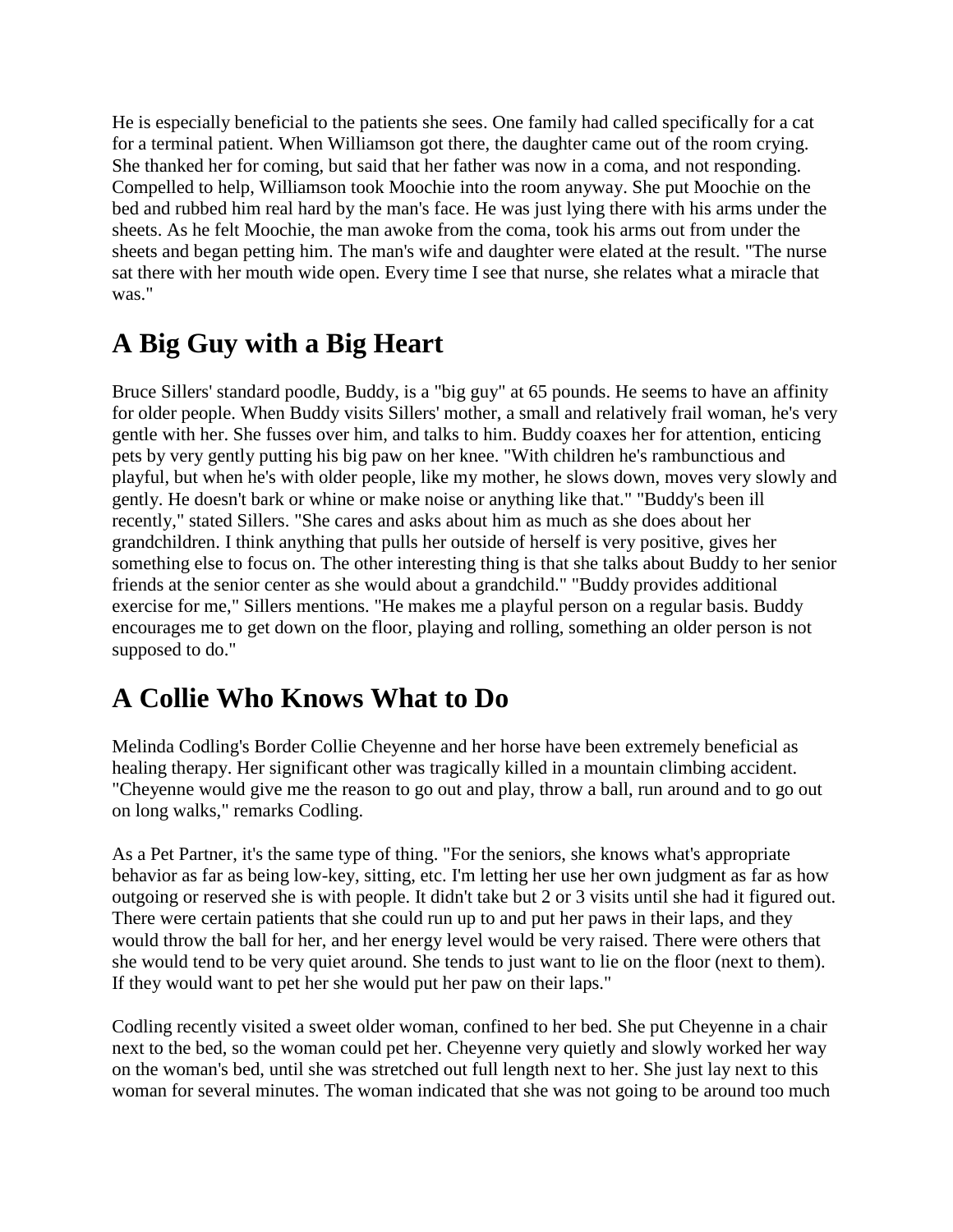He is especially beneficial to the patients she sees. One family had called specifically for a cat for a terminal patient. When Williamson got there, the daughter came out of the room crying. She thanked her for coming, but said that her father was now in a coma, and not responding. Compelled to help, Williamson took Moochie into the room anyway. She put Moochie on the bed and rubbed him real hard by the man's face. He was just lying there with his arms under the sheets. As he felt Moochie, the man awoke from the coma, took his arms out from under the sheets and began petting him. The man's wife and daughter were elated at the result. "The nurse sat there with her mouth wide open. Every time I see that nurse, she relates what a miracle that was."

# **A Big Guy with a Big Heart**

Bruce Sillers' standard poodle, Buddy, is a "big guy" at 65 pounds. He seems to have an affinity for older people. When Buddy visits Sillers' mother, a small and relatively frail woman, he's very gentle with her. She fusses over him, and talks to him. Buddy coaxes her for attention, enticing pets by very gently putting his big paw on her knee. "With children he's rambunctious and playful, but when he's with older people, like my mother, he slows down, moves very slowly and gently. He doesn't bark or whine or make noise or anything like that." "Buddy's been ill recently," stated Sillers. "She cares and asks about him as much as she does about her grandchildren. I think anything that pulls her outside of herself is very positive, gives her something else to focus on. The other interesting thing is that she talks about Buddy to her senior friends at the senior center as she would about a grandchild." "Buddy provides additional exercise for me," Sillers mentions. "He makes me a playful person on a regular basis. Buddy encourages me to get down on the floor, playing and rolling, something an older person is not supposed to do."

# **A Collie Who Knows What to Do**

Melinda Codling's Border Collie Cheyenne and her horse have been extremely beneficial as healing therapy. Her significant other was tragically killed in a mountain climbing accident. "Cheyenne would give me the reason to go out and play, throw a ball, run around and to go out on long walks," remarks Codling.

As a Pet Partner, it's the same type of thing. "For the seniors, she knows what's appropriate behavior as far as being low-key, sitting, etc. I'm letting her use her own judgment as far as how outgoing or reserved she is with people. It didn't take but 2 or 3 visits until she had it figured out. There were certain patients that she could run up to and put her paws in their laps, and they would throw the ball for her, and her energy level would be very raised. There were others that she would tend to be very quiet around. She tends to just want to lie on the floor (next to them). If they would want to pet her she would put her paw on their laps."

Codling recently visited a sweet older woman, confined to her bed. She put Cheyenne in a chair next to the bed, so the woman could pet her. Cheyenne very quietly and slowly worked her way on the woman's bed, until she was stretched out full length next to her. She just lay next to this woman for several minutes. The woman indicated that she was not going to be around too much